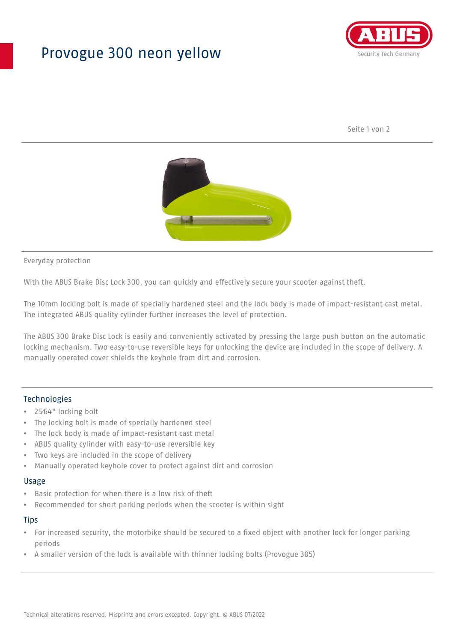## Provogue 300 neon yellow



Seite 1 von 2



#### Everyday protection

With the ABUS Brake Disc Lock 300, you can quickly and effectively secure your scooter against theft.

The 10mm locking bolt is made of specially hardened steel and the lock body is made of impact-resistant cast metal. The integrated ABUS quality cylinder further increases the level of protection.

The ABUS 300 Brake Disc Lock is easily and conveniently activated by pressing the large push button on the automatic locking mechanism. Two easy-to-use reversible keys for unlocking the device are included in the scope of delivery. A manually operated cover shields the keyhole from dirt and corrosion.

#### Technologies

- 25⁄64" locking bolt
- The locking bolt is made of specially hardened steel
- The lock body is made of impact-resistant cast metal
- ABUS quality cylinder with easy-to-use reversible key
- Two keys are included in the scope of delivery
- Manually operated keyhole cover to protect against dirt and corrosion

#### Usage

- Basic protection for when there is a low risk of theft
- Recommended for short parking periods when the scooter is within sight

#### **Tips**

- For increased security, the motorbike should be secured to a fixed object with another lock for longer parking periods
- A smaller version of the lock is available with thinner locking bolts (Provogue 305)